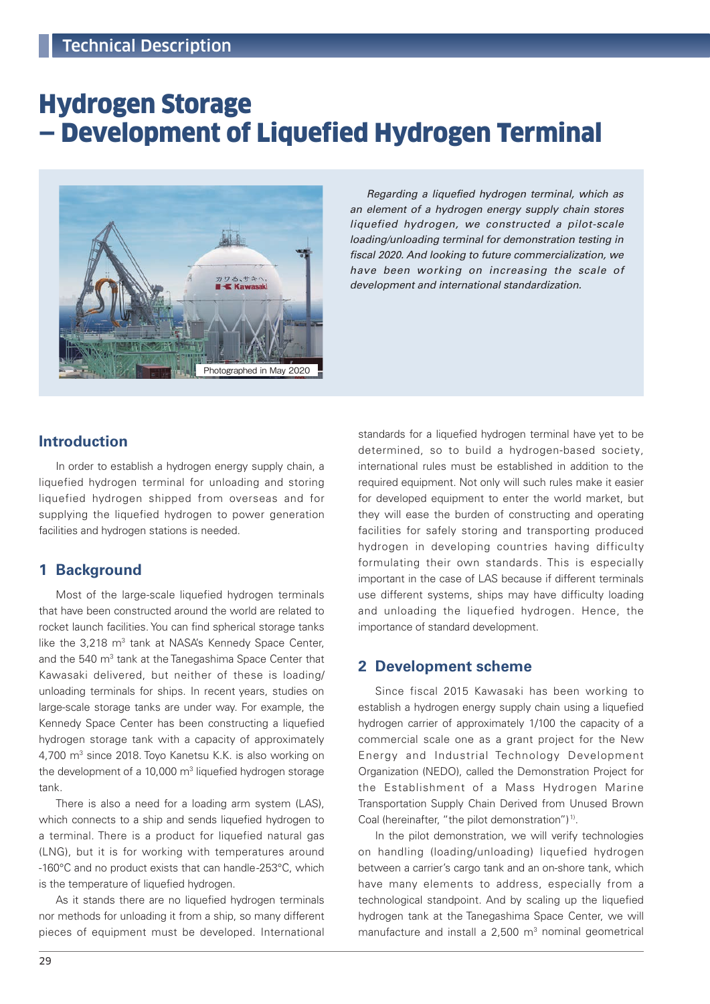# Hydrogen Storage — Development of Liquefied Hydrogen Terminal



Regarding a liquefied hydrogen terminal, which as an element of a hydrogen energy supply chain stores liquefied hydrogen, we constructed a pilot-scale loading/unloading terminal for demonstration testing in fiscal 2020. And looking to future commercialization, we have been working on increasing the scale of development and international standardization.

# **Introduction**

In order to establish a hydrogen energy supply chain, a liquefied hydrogen terminal for unloading and storing liquefied hydrogen shipped from overseas and for supplying the liquefied hydrogen to power generation facilities and hydrogen stations is needed.

### **1 Background**

Most of the large-scale liquefied hydrogen terminals that have been constructed around the world are related to rocket launch facilities. You can find spherical storage tanks like the 3,218 m<sup>3</sup> tank at NASA's Kennedy Space Center, and the 540 m<sup>3</sup> tank at the Tanegashima Space Center that Kawasaki delivered, but neither of these is loading/ unloading terminals for ships. In recent years, studies on large-scale storage tanks are under way. For example, the Kennedy Space Center has been constructing a liquefied hydrogen storage tank with a capacity of approximately 4,700 m<sup>3</sup> since 2018. Toyo Kanetsu K.K. is also working on the development of a 10,000 m<sup>3</sup> liquefied hydrogen storage tank.

There is also a need for a loading arm system (LAS), which connects to a ship and sends liquefied hydrogen to a terminal. There is a product for liquefied natural gas (LNG), but it is for working with temperatures around -160°C and no product exists that can handle -253°C, which is the temperature of liquefied hydrogen.

As it stands there are no liquefied hydrogen terminals nor methods for unloading it from a ship, so many different pieces of equipment must be developed. International

standards for a liquefied hydrogen terminal have yet to be determined, so to build a hydrogen-based society, international rules must be established in addition to the required equipment. Not only will such rules make it easier for developed equipment to enter the world market, but they will ease the burden of constructing and operating facilities for safely storing and transporting produced hydrogen in developing countries having difficulty formulating their own standards. This is especially important in the case of LAS because if different terminals use different systems, ships may have difficulty loading and unloading the liquefied hydrogen. Hence, the importance of standard development.

### **2 Development scheme**

Since fiscal 2015 Kawasaki has been working to establish a hydrogen energy supply chain using a liquefied hydrogen carrier of approximately 1/100 the capacity of a commercial scale one as a grant project for the New Energy and Industrial Technology Development Organization (NEDO), called the Demonstration Project for the Establishment of a Mass Hydrogen Marine Transportation Supply Chain Derived from Unused Brown Coal (hereinafter, "the pilot demonstration") 1).

In the pilot demonstration, we will verify technologies on handling (loading/unloading) liquefied hydrogen between a carrier's cargo tank and an on-shore tank, which have many elements to address, especially from a technological standpoint. And by scaling up the liquefied hydrogen tank at the Tanegashima Space Center, we will manufacture and install a  $2,500$  m<sup>3</sup> nominal geometrical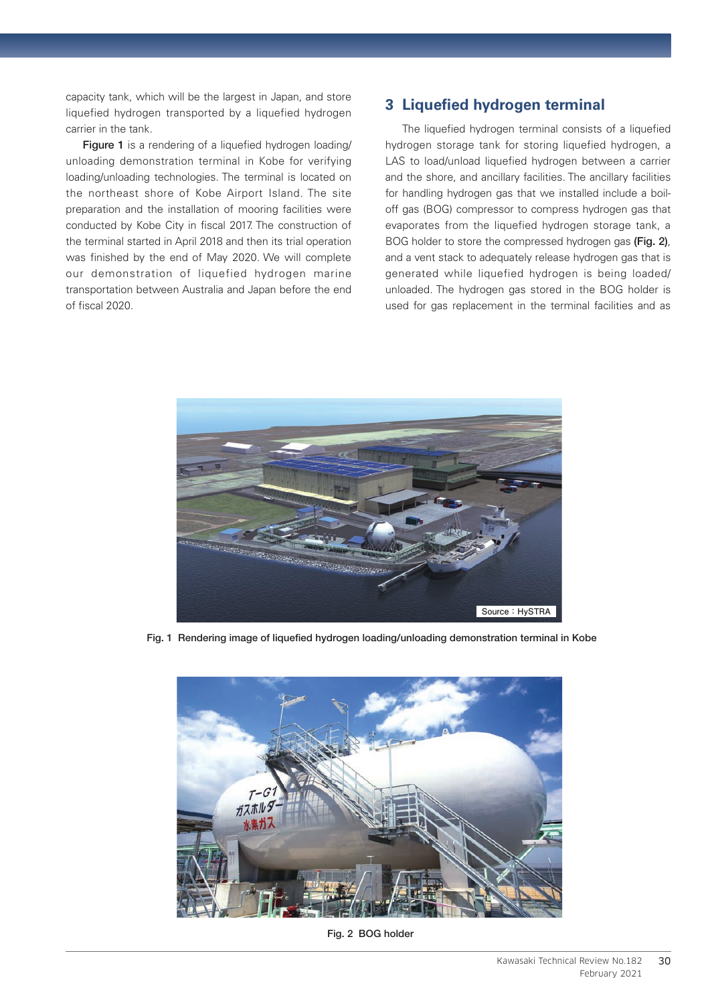capacity tank, which will be the largest in Japan, and store liquefied hydrogen transported by a liquefied hydrogen carrier in the tank.

Figure 1 is a rendering of a liquefied hydrogen loading/ unloading demonstration terminal in Kobe for verifying loading/unloading technologies. The terminal is located on the northeast shore of Kobe Airport Island. The site preparation and the installation of mooring facilities were conducted by Kobe City in fiscal 2017. The construction of the terminal started in April 2018 and then its trial operation was finished by the end of May 2020. We will complete our demonstration of liquefied hydrogen marine transportation between Australia and Japan before the end of fiscal 2020.

## **3 Liquefied hydrogen terminal**

The liquefied hydrogen terminal consists of a liquefied hydrogen storage tank for storing liquefied hydrogen, a LAS to load/unload liquefied hydrogen between a carrier and the shore, and ancillary facilities. The ancillary facilities for handling hydrogen gas that we installed include a boiloff gas (BOG) compressor to compress hydrogen gas that evaporates from the liquefied hydrogen storage tank, a BOG holder to store the compressed hydrogen gas (Fig. 2), and a vent stack to adequately release hydrogen gas that is generated while liquefied hydrogen is being loaded/ unloaded. The hydrogen gas stored in the BOG holder is used for gas replacement in the terminal facilities and as



Fig. 1 Rendering image of liquefied hydrogen loading/unloading demonstration terminal in Kobe



Fig. 2 BOG holder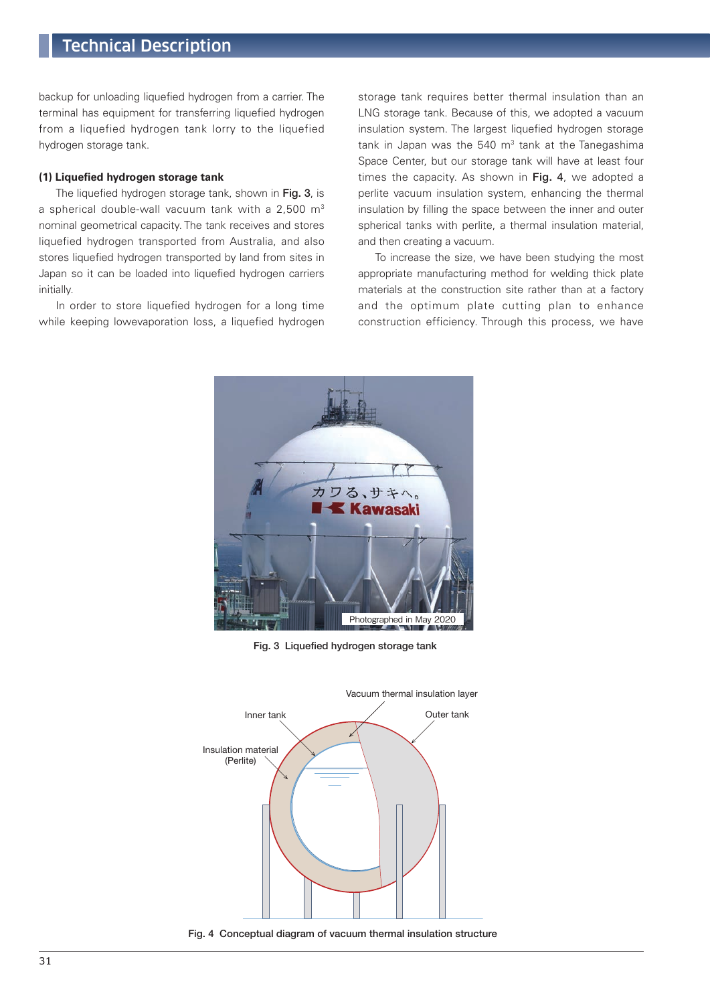# Technical Description

backup for unloading liquefied hydrogen from a carrier. The terminal has equipment for transferring liquefied hydrogen from a liquefied hydrogen tank lorry to the liquefied hydrogen storage tank.

### **(1) Liquefied hydrogen storage tank**

The liquefied hydrogen storage tank, shown in Fig. 3, is a spherical double-wall vacuum tank with a 2,500 m<sup>3</sup> nominal geometrical capacity. The tank receives and stores liquefied hydrogen transported from Australia, and also stores liquefied hydrogen transported by land from sites in Japan so it can be loaded into liquefied hydrogen carriers initially.

In order to store liquefied hydrogen for a long time while keeping lowevaporation loss, a liquefied hydrogen storage tank requires better thermal insulation than an LNG storage tank. Because of this, we adopted a vacuum insulation system. The largest liquefied hydrogen storage tank in Japan was the  $540 \, \text{m}^3$  tank at the Tanegashima Space Center, but our storage tank will have at least four times the capacity. As shown in Fig. 4, we adopted a perlite vacuum insulation system, enhancing the thermal insulation by filling the space between the inner and outer spherical tanks with perlite, a thermal insulation material, and then creating a vacuum.

To increase the size, we have been studying the most appropriate manufacturing method for welding thick plate materials at the construction site rather than at a factory and the optimum plate cutting plan to enhance construction efficiency. Through this process, we have



Fig. 3 Liquefied hydrogen storage tank



Fig. 4 Conceptual diagram of vacuum thermal insulation structure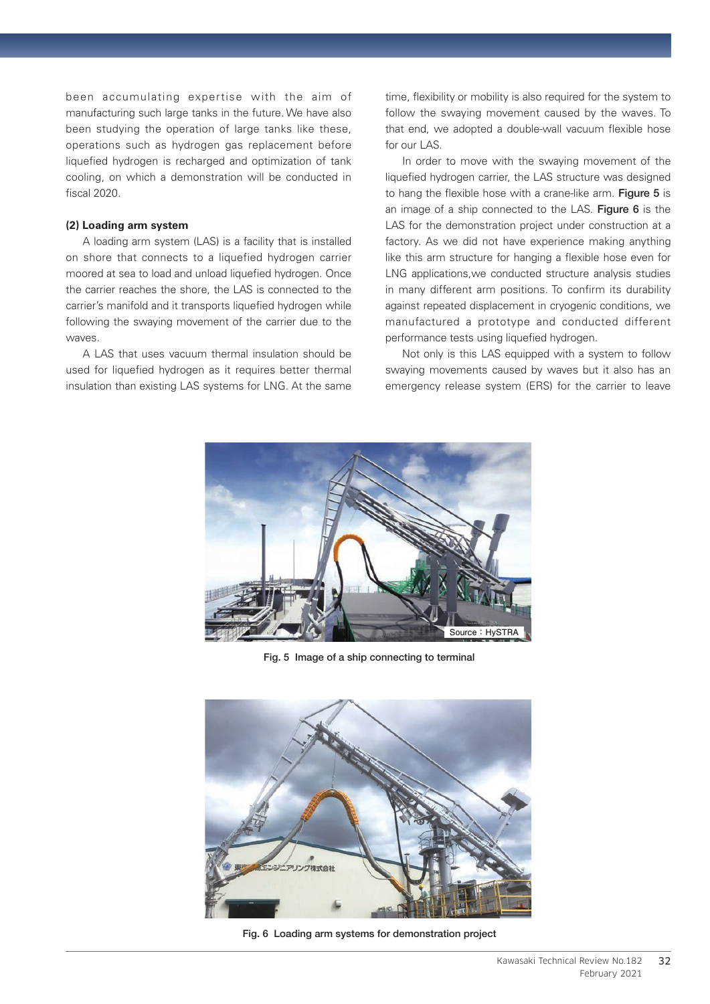been accumulating expertise with the aim of manufacturing such large tanks in the future. We have also been studying the operation of large tanks like these, operations such as hydrogen gas replacement before liquefied hydrogen is recharged and optimization of tank cooling, on which a demonstration will be conducted in fiscal 2020.

### **(2) Loading arm system**

A loading arm system (LAS) is a facility that is installed on shore that connects to a liquefied hydrogen carrier moored at sea to load and unload liquefied hydrogen. Once the carrier reaches the shore, the LAS is connected to the carrier's manifold and it transports liquefied hydrogen while following the swaying movement of the carrier due to the waves.

A LAS that uses vacuum thermal insulation should be used for liquefied hydrogen as it requires better thermal insulation than existing LAS systems for LNG. At the same time, flexibility or mobility is also required for the system to follow the swaying movement caused by the waves. To that end, we adopted a double-wall vacuum flexible hose for our LAS.

In order to move with the swaying movement of the liquefied hydrogen carrier, the LAS structure was designed to hang the flexible hose with a crane-like arm. Figure 5 is an image of a ship connected to the LAS. Figure 6 is the LAS for the demonstration project under construction at a factory. As we did not have experience making anything like this arm structure for hanging a flexible hose even for LNG applications,we conducted structure analysis studies in many different arm positions. To confirm its durability against repeated displacement in cryogenic conditions, we manufactured a prototype and conducted different performance tests using liquefied hydrogen.

Not only is this LAS equipped with a system to follow swaying movements caused by waves but it also has an emergency release system (ERS) for the carrier to leave



Fig. 5 Image of a ship connecting to terminal



Fig. 6 Loading arm systems for demonstration project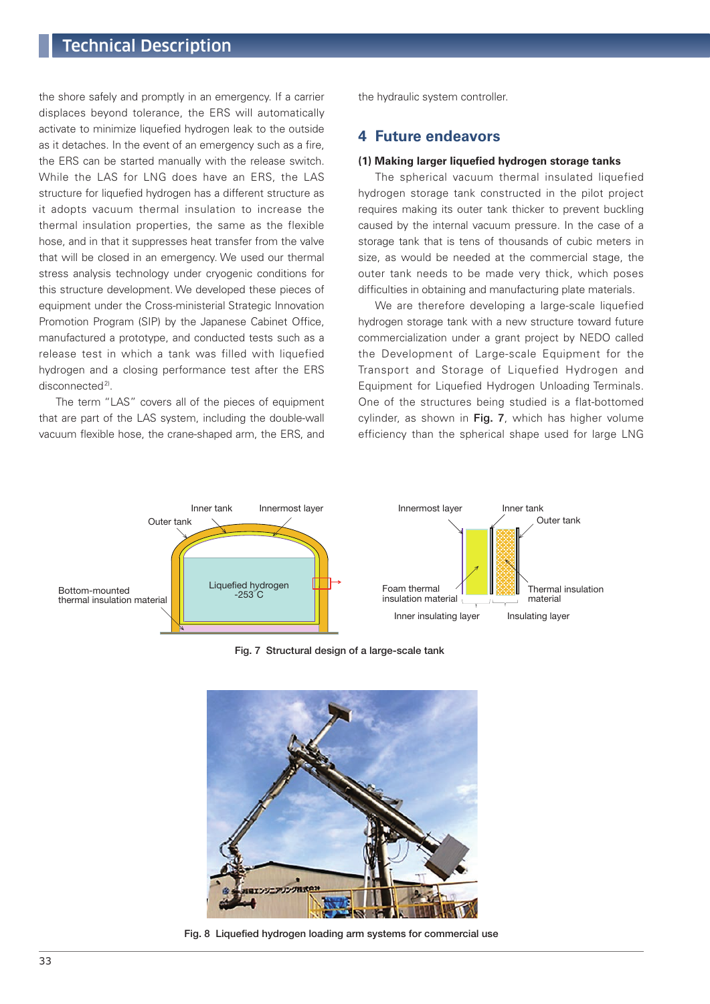# Technical Description

the shore safely and promptly in an emergency. If a carrier displaces beyond tolerance, the ERS will automatically activate to minimize liquefied hydrogen leak to the outside as it detaches. In the event of an emergency such as a fire, the ERS can be started manually with the release switch. While the LAS for LNG does have an ERS, the LAS structure for liquefied hydrogen has a different structure as it adopts vacuum thermal insulation to increase the thermal insulation properties, the same as the flexible hose, and in that it suppresses heat transfer from the valve that will be closed in an emergency. We used our thermal stress analysis technology under cryogenic conditions for this structure development. We developed these pieces of equipment under the Cross-ministerial Strategic Innovation Promotion Program (SIP) by the Japanese Cabinet Office, manufactured a prototype, and conducted tests such as a release test in which a tank was filled with liquefied hydrogen and a closing performance test after the ERS disconnected<sup>2)</sup>.

The term "LAS" covers all of the pieces of equipment that are part of the LAS system, including the double-wall vacuum flexible hose, the crane-shaped arm, the ERS, and the hydraulic system controller.

### **4 Future endeavors**

### **(1) Making larger liquefied hydrogen storage tanks**

The spherical vacuum thermal insulated liquefied hydrogen storage tank constructed in the pilot project requires making its outer tank thicker to prevent buckling caused by the internal vacuum pressure. In the case of a storage tank that is tens of thousands of cubic meters in size, as would be needed at the commercial stage, the outer tank needs to be made very thick, which poses difficulties in obtaining and manufacturing plate materials.

We are therefore developing a large-scale liquefied hydrogen storage tank with a new structure toward future commercialization under a grant project by NEDO called the Development of Large-scale Equipment for the Transport and Storage of Liquefied Hydrogen and Equipment for Liquefied Hydrogen Unloading Terminals. One of the structures being studied is a flat-bottomed cylinder, as shown in Fig. 7, which has higher volume efficiency than the spherical shape used for large LNG



Fig. 7 Structural design of a large-scale tank



Fig. 8 Liquefied hydrogen loading arm systems for commercial use